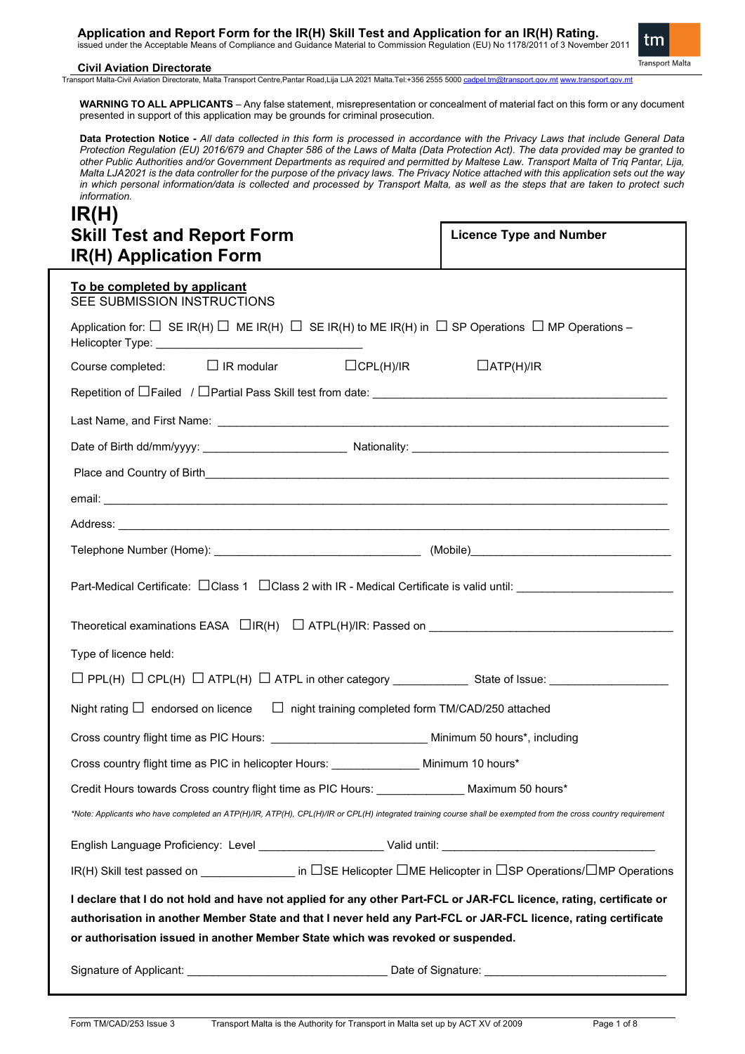**Application and Report Form for the IR(H) Skill Test and Application for an IR(H) Rating.** issued under the Acceptable Means of Compliance and Guidance Material to Commission Regulation (EU) No 1178/2011 of 3 November 2011



#### **Civil Aviation Directorate**

Transport Malta-Civil Aviation Directorate, Malta Transport Centre,Pantar Road,Lija LJA 2021 Malta.Tel:+356 2555 5000 [cadpel.tm@transport.gov.mt](mailto:cadpel.tm@transport.gov.mt) [www.transport.gov.mt](http://www.transport.gov.mt/)

**WARNING TO ALL APPLICANTS** – Any false statement, misrepresentation or concealment of material fact on this form or any document presented in support of this application may be grounds for criminal prosecution.

**Data Protection Notice -** *All data collected in this form is processed in accordance with the Privacy Laws that include General Data Protection Regulation (EU) 2016/679 and Chapter 586 of the Laws of Malta (Data Protection Act). The data provided may be granted to other Public Authorities and/or Government Departments as required and permitted by Maltese Law. Transport Malta of Triq Pantar, Lija, Malta LJA2021 is the data controller for the purpose of the privacy laws. The Privacy Notice attached with this application sets out the way in which personal information/data is collected and processed by Transport Malta, as well as the steps that are taken to protect such information.*

# **IR(H) Skill Test and Report Form IR(H) Application Form**

**Licence Type and Number** 

| $\mathbf{u}$ (11) Application Form                                                                                                                                                                                                                                                                                        |  |  |  |  |
|---------------------------------------------------------------------------------------------------------------------------------------------------------------------------------------------------------------------------------------------------------------------------------------------------------------------------|--|--|--|--|
| To be completed by applicant<br>SEE SUBMISSION INSTRUCTIONS                                                                                                                                                                                                                                                               |  |  |  |  |
| Application for: $\Box$ SE IR(H) $\Box$ ME IR(H) $\Box$ SE IR(H) to ME IR(H) in $\Box$ SP Operations $\Box$ MP Operations –                                                                                                                                                                                               |  |  |  |  |
| $\Box$ CPL(H)/IR<br>Course completed: $\Box$ IR modular<br>$\Box$ ATP(H)/IR                                                                                                                                                                                                                                               |  |  |  |  |
|                                                                                                                                                                                                                                                                                                                           |  |  |  |  |
|                                                                                                                                                                                                                                                                                                                           |  |  |  |  |
|                                                                                                                                                                                                                                                                                                                           |  |  |  |  |
|                                                                                                                                                                                                                                                                                                                           |  |  |  |  |
|                                                                                                                                                                                                                                                                                                                           |  |  |  |  |
|                                                                                                                                                                                                                                                                                                                           |  |  |  |  |
|                                                                                                                                                                                                                                                                                                                           |  |  |  |  |
| Part-Medical Certificate: □ Class 1 □ Class 2 with IR - Medical Certificate is valid until: _________________________                                                                                                                                                                                                     |  |  |  |  |
|                                                                                                                                                                                                                                                                                                                           |  |  |  |  |
| Type of licence held:                                                                                                                                                                                                                                                                                                     |  |  |  |  |
|                                                                                                                                                                                                                                                                                                                           |  |  |  |  |
| Night rating $\Box$ endorsed on licence $\Box$ night training completed form TM/CAD/250 attached                                                                                                                                                                                                                          |  |  |  |  |
| Cross country flight time as PIC Hours: ______________________________ Minimum 50 hours*, including                                                                                                                                                                                                                       |  |  |  |  |
| Cross country flight time as PIC in helicopter Hours: ________________ Minimum 10 hours*                                                                                                                                                                                                                                  |  |  |  |  |
| Credit Hours towards Cross country flight time as PIC Hours: _______________ Maximum 50 hours*                                                                                                                                                                                                                            |  |  |  |  |
| *Note: Applicants who have completed an ATP(H)/IR, ATP(H), CPL(H)/IR or CPL(H) integrated training course shall be exempted from the cross country requirement                                                                                                                                                            |  |  |  |  |
|                                                                                                                                                                                                                                                                                                                           |  |  |  |  |
| IR(H) Skill test passed on ______________ in □SE Helicopter □ME Helicopter in □SP Operations/□MP Operations                                                                                                                                                                                                               |  |  |  |  |
| I declare that I do not hold and have not applied for any other Part-FCL or JAR-FCL licence, rating, certificate or<br>authorisation in another Member State and that I never held any Part-FCL or JAR-FCL licence, rating certificate<br>or authorisation issued in another Member State which was revoked or suspended. |  |  |  |  |
|                                                                                                                                                                                                                                                                                                                           |  |  |  |  |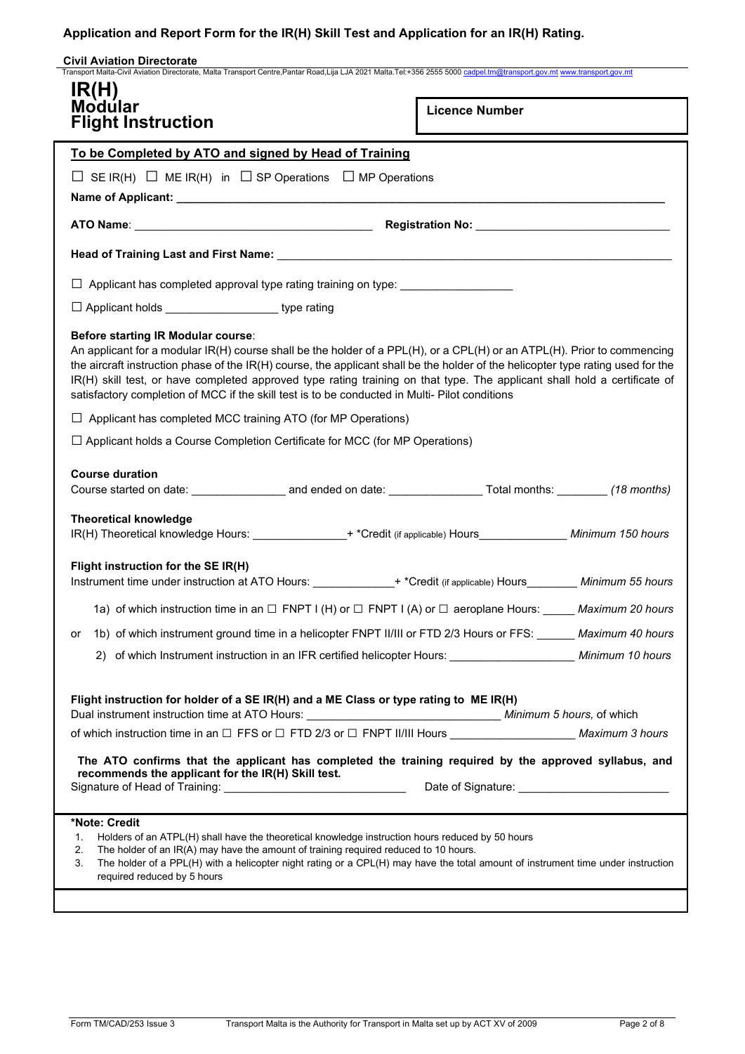| <b>Civil Aviation Directorate</b><br>Transport Malta-Civil Aviation Directorate, Malta Transport Centre, Pantar Road, Lija LJA 2021 Malta.Tel:+356 2555 5000 cadpel.tm@transport.gov.mt www.transport.gov.mt                                                                                                                                                                                                                                                                                                                     |                       |  |  |  |
|----------------------------------------------------------------------------------------------------------------------------------------------------------------------------------------------------------------------------------------------------------------------------------------------------------------------------------------------------------------------------------------------------------------------------------------------------------------------------------------------------------------------------------|-----------------------|--|--|--|
| IR(H)<br>Modular<br><b>Flight Instruction</b>                                                                                                                                                                                                                                                                                                                                                                                                                                                                                    | <b>Licence Number</b> |  |  |  |
| To be Completed by ATO and signed by Head of Training                                                                                                                                                                                                                                                                                                                                                                                                                                                                            |                       |  |  |  |
| $\Box$ SE IR(H) $\Box$ ME IR(H) in $\Box$ SP Operations $\Box$ MP Operations                                                                                                                                                                                                                                                                                                                                                                                                                                                     |                       |  |  |  |
|                                                                                                                                                                                                                                                                                                                                                                                                                                                                                                                                  |                       |  |  |  |
|                                                                                                                                                                                                                                                                                                                                                                                                                                                                                                                                  |                       |  |  |  |
| Head of Training Last and First Name: Mannell Last Contract Contract Contract Contract Contract Contract Contr                                                                                                                                                                                                                                                                                                                                                                                                                   |                       |  |  |  |
| □ Applicant has completed approval type rating training on type: _______________                                                                                                                                                                                                                                                                                                                                                                                                                                                 |                       |  |  |  |
| □ Applicant holds ______________________type rating                                                                                                                                                                                                                                                                                                                                                                                                                                                                              |                       |  |  |  |
| Before starting IR Modular course:<br>An applicant for a modular IR(H) course shall be the holder of a PPL(H), or a CPL(H) or an ATPL(H). Prior to commencing<br>the aircraft instruction phase of the IR(H) course, the applicant shall be the holder of the helicopter type rating used for the<br>IR(H) skill test, or have completed approved type rating training on that type. The applicant shall hold a certificate of<br>satisfactory completion of MCC if the skill test is to be conducted in Multi- Pilot conditions |                       |  |  |  |
| $\Box$ Applicant has completed MCC training ATO (for MP Operations)                                                                                                                                                                                                                                                                                                                                                                                                                                                              |                       |  |  |  |
| $\Box$ Applicant holds a Course Completion Certificate for MCC (for MP Operations)                                                                                                                                                                                                                                                                                                                                                                                                                                               |                       |  |  |  |
| <b>Course duration</b>                                                                                                                                                                                                                                                                                                                                                                                                                                                                                                           |                       |  |  |  |
| <b>Theoretical knowledge</b><br>IR(H) Theoretical knowledge Hours: ________________+ *Credit (if applicable) Hours________________ Minimum 150 hours                                                                                                                                                                                                                                                                                                                                                                             |                       |  |  |  |
| Flight instruction for the SE IR(H)<br>Instrument time under instruction at ATO Hours: ______________+ *Credit (if applicable) Hours_________ Minimum 55 hours                                                                                                                                                                                                                                                                                                                                                                   |                       |  |  |  |
| 1a) of which instruction time in an $\Box$ FNPT I (H) or $\Box$ FNPT I (A) or $\Box$ aeroplane Hours: _____ Maximum 20 hours                                                                                                                                                                                                                                                                                                                                                                                                     |                       |  |  |  |
| 1b) of which instrument ground time in a helicopter FNPT II/III or FTD 2/3 Hours or FFS: Maximum 40 hours<br>or                                                                                                                                                                                                                                                                                                                                                                                                                  |                       |  |  |  |
| 2) of which Instrument instruction in an IFR certified helicopter Hours: ________________________ Minimum 10 hours                                                                                                                                                                                                                                                                                                                                                                                                               |                       |  |  |  |
| Flight instruction for holder of a SE IR(H) and a ME Class or type rating to ME IR(H)                                                                                                                                                                                                                                                                                                                                                                                                                                            |                       |  |  |  |
| of which instruction time in an □ FFS or □ FTD 2/3 or □ FNPT II/III Hours _________________________ Maximum 3 hours                                                                                                                                                                                                                                                                                                                                                                                                              |                       |  |  |  |
| The ATO confirms that the applicant has completed the training required by the approved syllabus, and<br>recommends the applicant for the IR(H) Skill test.                                                                                                                                                                                                                                                                                                                                                                      |                       |  |  |  |
| *Note: Credit<br>Holders of an ATPL(H) shall have the theoretical knowledge instruction hours reduced by 50 hours<br>1.<br>The holder of an IR(A) may have the amount of training required reduced to 10 hours.<br>2.<br>The holder of a PPL(H) with a helicopter night rating or a CPL(H) may have the total amount of instrument time under instruction<br>3.<br>required reduced by 5 hours                                                                                                                                   |                       |  |  |  |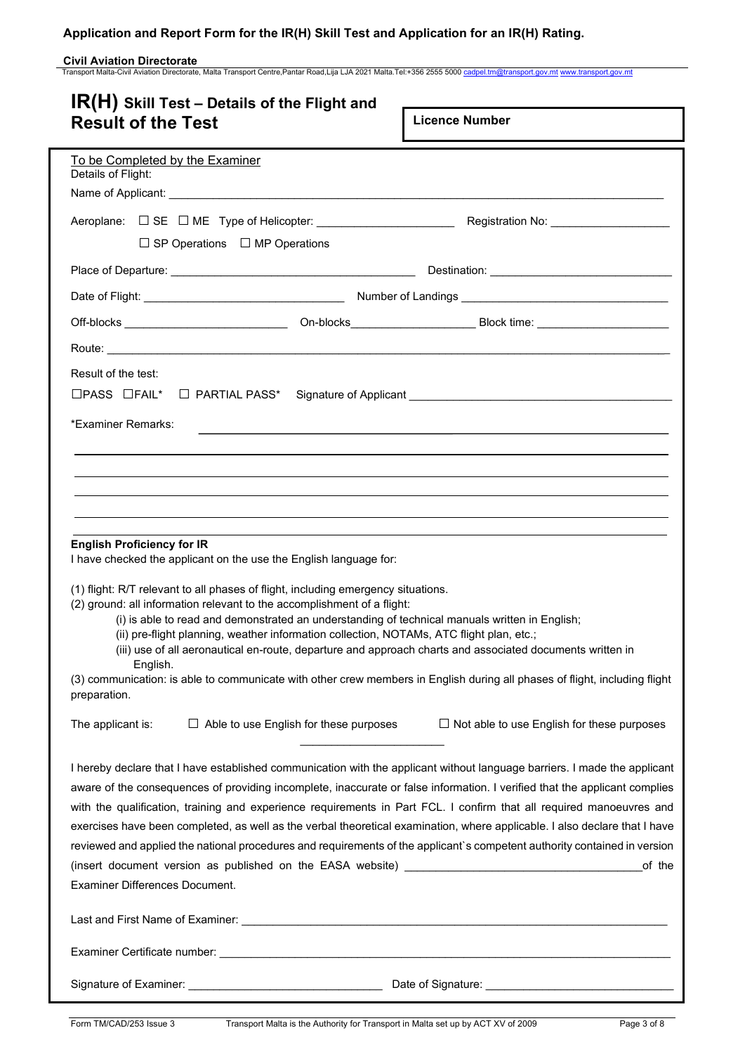**Civil Aviation Directorate**<br>Transport Malta-Civil Aviation Directorate, Malta Transport Centre,Pantar Road,Lija LJA 2021 Malta.Tel:+356 2555 5000 <u>[cadpel.tm@transport.gov.mt](mailto:cadpel.tm@transport.gov.mt) www.transport.gov.m</u>t

| $IR(H)$ Skill Test – Details of the Flight and<br><b>Result of the Test</b>                                                                                                                                                                                                                                                                                                                                                                                                                                                                                                                                                                                                  | <b>Licence Number</b>                             |
|------------------------------------------------------------------------------------------------------------------------------------------------------------------------------------------------------------------------------------------------------------------------------------------------------------------------------------------------------------------------------------------------------------------------------------------------------------------------------------------------------------------------------------------------------------------------------------------------------------------------------------------------------------------------------|---------------------------------------------------|
| To be Completed by the Examiner<br>Details of Flight:                                                                                                                                                                                                                                                                                                                                                                                                                                                                                                                                                                                                                        |                                                   |
|                                                                                                                                                                                                                                                                                                                                                                                                                                                                                                                                                                                                                                                                              |                                                   |
| Aeroplane: □ SE □ ME Type of Helicopter: _________________________                                                                                                                                                                                                                                                                                                                                                                                                                                                                                                                                                                                                           | Registration No: North Product No.                |
| $\Box$ SP Operations $\Box$ MP Operations                                                                                                                                                                                                                                                                                                                                                                                                                                                                                                                                                                                                                                    |                                                   |
|                                                                                                                                                                                                                                                                                                                                                                                                                                                                                                                                                                                                                                                                              |                                                   |
|                                                                                                                                                                                                                                                                                                                                                                                                                                                                                                                                                                                                                                                                              |                                                   |
|                                                                                                                                                                                                                                                                                                                                                                                                                                                                                                                                                                                                                                                                              |                                                   |
|                                                                                                                                                                                                                                                                                                                                                                                                                                                                                                                                                                                                                                                                              |                                                   |
| Result of the test:                                                                                                                                                                                                                                                                                                                                                                                                                                                                                                                                                                                                                                                          |                                                   |
| *Examiner Remarks:                                                                                                                                                                                                                                                                                                                                                                                                                                                                                                                                                                                                                                                           |                                                   |
|                                                                                                                                                                                                                                                                                                                                                                                                                                                                                                                                                                                                                                                                              |                                                   |
|                                                                                                                                                                                                                                                                                                                                                                                                                                                                                                                                                                                                                                                                              |                                                   |
|                                                                                                                                                                                                                                                                                                                                                                                                                                                                                                                                                                                                                                                                              |                                                   |
|                                                                                                                                                                                                                                                                                                                                                                                                                                                                                                                                                                                                                                                                              |                                                   |
| <b>English Proficiency for IR</b><br>I have checked the applicant on the use the English language for:                                                                                                                                                                                                                                                                                                                                                                                                                                                                                                                                                                       |                                                   |
| (1) flight: R/T relevant to all phases of flight, including emergency situations.<br>(2) ground: all information relevant to the accomplishment of a flight:<br>(i) is able to read and demonstrated an understanding of technical manuals written in English;<br>(ii) pre-flight planning, weather information collection, NOTAMs, ATC flight plan, etc.;<br>(iii) use of all aeronautical en-route, departure and approach charts and associated documents written in                                                                                                                                                                                                      |                                                   |
| English.<br>(3) communication: is able to communicate with other crew members in English during all phases of flight, including flight<br>preparation.                                                                                                                                                                                                                                                                                                                                                                                                                                                                                                                       |                                                   |
| $\Box$ Able to use English for these purposes<br>The applicant is:                                                                                                                                                                                                                                                                                                                                                                                                                                                                                                                                                                                                           | $\Box$ Not able to use English for these purposes |
| I hereby declare that I have established communication with the applicant without language barriers. I made the applicant<br>aware of the consequences of providing incomplete, inaccurate or false information. I verified that the applicant complies<br>with the qualification, training and experience requirements in Part FCL. I confirm that all required manoeuvres and<br>exercises have been completed, as well as the verbal theoretical examination, where applicable. I also declare that I have<br>reviewed and applied the national procedures and requirements of the applicant's competent authority contained in version<br>Examiner Differences Document. | of the                                            |
|                                                                                                                                                                                                                                                                                                                                                                                                                                                                                                                                                                                                                                                                              |                                                   |
|                                                                                                                                                                                                                                                                                                                                                                                                                                                                                                                                                                                                                                                                              |                                                   |
|                                                                                                                                                                                                                                                                                                                                                                                                                                                                                                                                                                                                                                                                              |                                                   |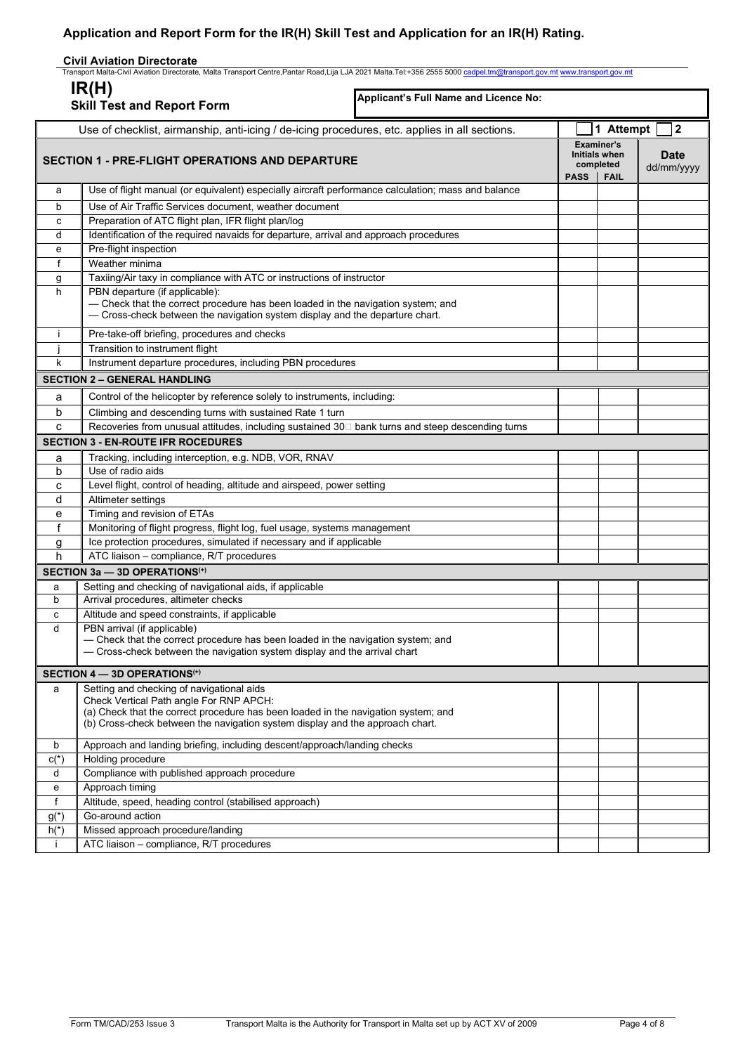## **Civil Aviation Directorate**

| Transport Malta-Civil Aviation Directorate, Malta Transport Centre,Pantar Road,Lija LJA 2021 Malta.Tel:+356 2555 5000 <u>cadpel.tm@transport.gov.mt www.transport.gov.mt</u><br>IR(H) |                                                                                                                                                                                                                                                             |                                                                               |                           |
|---------------------------------------------------------------------------------------------------------------------------------------------------------------------------------------|-------------------------------------------------------------------------------------------------------------------------------------------------------------------------------------------------------------------------------------------------------------|-------------------------------------------------------------------------------|---------------------------|
|                                                                                                                                                                                       | Applicant's Full Name and Licence No:<br><b>Skill Test and Report Form</b>                                                                                                                                                                                  |                                                                               |                           |
|                                                                                                                                                                                       | Use of checklist, airmanship, anti-icing / de-icing procedures, etc. applies in all sections.                                                                                                                                                               | 1 Attempt                                                                     | $\overline{\mathbf{2}}$   |
| <b>SECTION 1 - PRE-FLIGHT OPERATIONS AND DEPARTURE</b>                                                                                                                                |                                                                                                                                                                                                                                                             | Examiner's<br><b>Initials when</b><br>completed<br><b>PASS</b><br><b>FAIL</b> | <b>Date</b><br>dd/mm/yyyy |
| a                                                                                                                                                                                     | Use of flight manual (or equivalent) especially aircraft performance calculation; mass and balance                                                                                                                                                          |                                                                               |                           |
| b                                                                                                                                                                                     | Use of Air Traffic Services document, weather document                                                                                                                                                                                                      |                                                                               |                           |
| c                                                                                                                                                                                     | Preparation of ATC flight plan, IFR flight plan/log                                                                                                                                                                                                         |                                                                               |                           |
| d                                                                                                                                                                                     | Identification of the required navaids for departure, arrival and approach procedures                                                                                                                                                                       |                                                                               |                           |
| е                                                                                                                                                                                     | Pre-flight inspection                                                                                                                                                                                                                                       |                                                                               |                           |
| f                                                                                                                                                                                     | Weather minima                                                                                                                                                                                                                                              |                                                                               |                           |
| g                                                                                                                                                                                     | Taxiing/Air taxy in compliance with ATC or instructions of instructor                                                                                                                                                                                       |                                                                               |                           |
| h                                                                                                                                                                                     | PBN departure (if applicable):<br>- Check that the correct procedure has been loaded in the navigation system; and<br>- Cross-check between the navigation system display and the departure chart.                                                          |                                                                               |                           |
| ÷                                                                                                                                                                                     | Pre-take-off briefing, procedures and checks                                                                                                                                                                                                                |                                                                               |                           |
|                                                                                                                                                                                       | Transition to instrument flight                                                                                                                                                                                                                             |                                                                               |                           |
| k                                                                                                                                                                                     | Instrument departure procedures, including PBN procedures                                                                                                                                                                                                   |                                                                               |                           |
|                                                                                                                                                                                       | <b>SECTION 2 - GENERAL HANDLING</b>                                                                                                                                                                                                                         |                                                                               |                           |
| a                                                                                                                                                                                     | Control of the helicopter by reference solely to instruments, including:                                                                                                                                                                                    |                                                                               |                           |
| b                                                                                                                                                                                     | Climbing and descending turns with sustained Rate 1 turn                                                                                                                                                                                                    |                                                                               |                           |
| c                                                                                                                                                                                     | Recoveries from unusual attitudes, including sustained 30□ bank turns and steep descending turns                                                                                                                                                            |                                                                               |                           |
|                                                                                                                                                                                       | <b>SECTION 3 - EN-ROUTE IFR ROCEDURES</b>                                                                                                                                                                                                                   |                                                                               |                           |
| а                                                                                                                                                                                     | Tracking, including interception, e.g. NDB, VOR, RNAV                                                                                                                                                                                                       |                                                                               |                           |
| b                                                                                                                                                                                     | Use of radio aids                                                                                                                                                                                                                                           |                                                                               |                           |
| с                                                                                                                                                                                     | Level flight, control of heading, altitude and airspeed, power setting                                                                                                                                                                                      |                                                                               |                           |
| d                                                                                                                                                                                     | Altimeter settings                                                                                                                                                                                                                                          |                                                                               |                           |
| е                                                                                                                                                                                     | Timing and revision of ETAs                                                                                                                                                                                                                                 |                                                                               |                           |
| f                                                                                                                                                                                     | Monitoring of flight progress, flight log, fuel usage, systems management                                                                                                                                                                                   |                                                                               |                           |
| g                                                                                                                                                                                     | Ice protection procedures, simulated if necessary and if applicable                                                                                                                                                                                         |                                                                               |                           |
| h                                                                                                                                                                                     | ATC liaison - compliance, R/T procedures                                                                                                                                                                                                                    |                                                                               |                           |
|                                                                                                                                                                                       | SECTION 3a - 3D OPERATIONS <sup>(+)</sup>                                                                                                                                                                                                                   |                                                                               |                           |
| a                                                                                                                                                                                     | Setting and checking of navigational aids, if applicable                                                                                                                                                                                                    |                                                                               |                           |
| b                                                                                                                                                                                     | Arrival procedures, altimeter checks                                                                                                                                                                                                                        |                                                                               |                           |
| с                                                                                                                                                                                     | Altitude and speed constraints, if applicable                                                                                                                                                                                                               |                                                                               |                           |
| d                                                                                                                                                                                     | PBN arrival (if applicable)<br>- Check that the correct procedure has been loaded in the navigation system; and<br>- Cross-check between the navigation system display and the arrival chart                                                                |                                                                               |                           |
|                                                                                                                                                                                       | SECTION 4 - 3D OPERATIONS <sup>(+)</sup>                                                                                                                                                                                                                    |                                                                               |                           |
| a                                                                                                                                                                                     | Setting and checking of navigational aids<br>Check Vertical Path angle For RNP APCH:<br>(a) Check that the correct procedure has been loaded in the navigation system; and<br>(b) Cross-check between the navigation system display and the approach chart. |                                                                               |                           |
| b                                                                                                                                                                                     | Approach and landing briefing, including descent/approach/landing checks                                                                                                                                                                                    |                                                                               |                           |
| $C(*)$                                                                                                                                                                                | Holding procedure                                                                                                                                                                                                                                           |                                                                               |                           |
| d                                                                                                                                                                                     | Compliance with published approach procedure                                                                                                                                                                                                                |                                                                               |                           |
| e                                                                                                                                                                                     | Approach timing                                                                                                                                                                                                                                             |                                                                               |                           |
| f                                                                                                                                                                                     | Altitude, speed, heading control (stabilised approach)                                                                                                                                                                                                      |                                                                               |                           |
| $g(*)$                                                                                                                                                                                | Go-around action                                                                                                                                                                                                                                            |                                                                               |                           |
| $h(*)$                                                                                                                                                                                | Missed approach procedure/landing                                                                                                                                                                                                                           |                                                                               |                           |
| $\mathbf{I}$                                                                                                                                                                          | ATC liaison - compliance, R/T procedures                                                                                                                                                                                                                    |                                                                               |                           |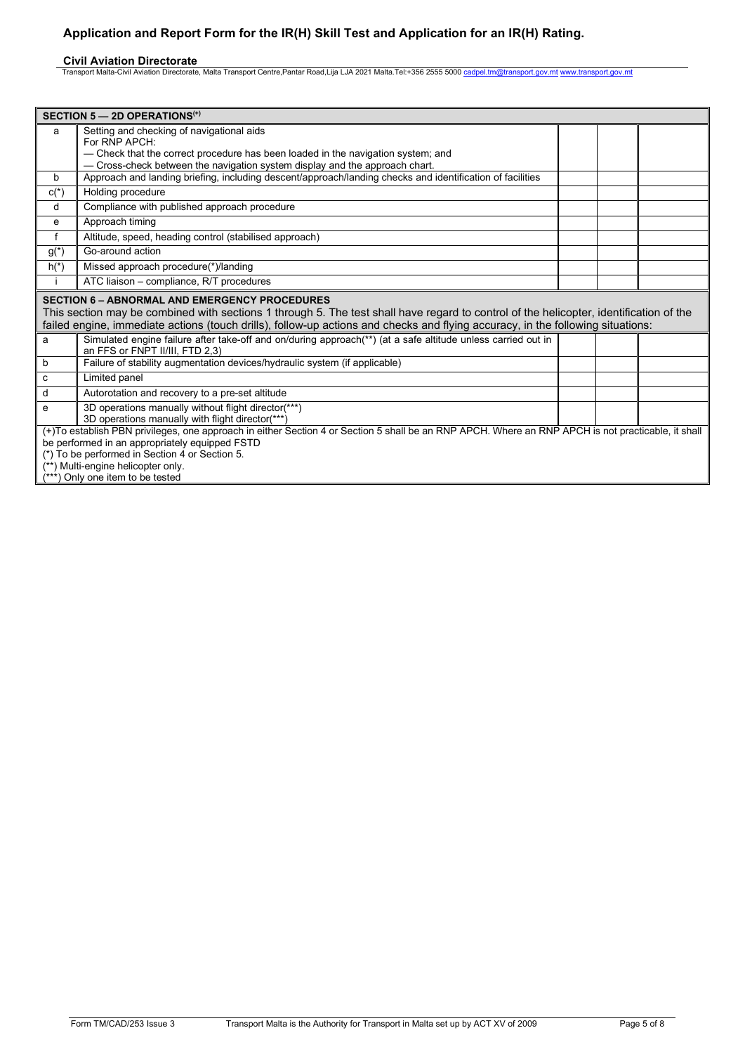**Civil Aviation Directorate**<br>Transport Malta-Civil Aviation Directorate, Malta Transport Centre,Pantar Road,Lija LJA 2021 Malta.Tel:+356 2555 5000 <u>[cadpel.tm@transport.gov.mt](mailto:cadpel.tm@transport.gov.mt) www.transport.gov.m</u>t

| SECTION $5 - 2D$ OPERATIONS <sup>(+)</sup>                                                                                                                                                                                                                                                                                        |                                                                                                                                                                                                                                                                                                                            |  |  |  |
|-----------------------------------------------------------------------------------------------------------------------------------------------------------------------------------------------------------------------------------------------------------------------------------------------------------------------------------|----------------------------------------------------------------------------------------------------------------------------------------------------------------------------------------------------------------------------------------------------------------------------------------------------------------------------|--|--|--|
| a                                                                                                                                                                                                                                                                                                                                 | Setting and checking of navigational aids<br>For RNP APCH:<br>- Check that the correct procedure has been loaded in the navigation system; and<br>- Cross-check between the navigation system display and the approach chart.                                                                                              |  |  |  |
| b                                                                                                                                                                                                                                                                                                                                 | Approach and landing briefing, including descent/approach/landing checks and identification of facilities                                                                                                                                                                                                                  |  |  |  |
| $c(*)$                                                                                                                                                                                                                                                                                                                            | Holding procedure                                                                                                                                                                                                                                                                                                          |  |  |  |
| d                                                                                                                                                                                                                                                                                                                                 | Compliance with published approach procedure                                                                                                                                                                                                                                                                               |  |  |  |
| e                                                                                                                                                                                                                                                                                                                                 | Approach timing                                                                                                                                                                                                                                                                                                            |  |  |  |
| f                                                                                                                                                                                                                                                                                                                                 | Altitude, speed, heading control (stabilised approach)                                                                                                                                                                                                                                                                     |  |  |  |
| $g(*)$                                                                                                                                                                                                                                                                                                                            | Go-around action                                                                                                                                                                                                                                                                                                           |  |  |  |
| $h(*)$                                                                                                                                                                                                                                                                                                                            | Missed approach procedure(*)/landing                                                                                                                                                                                                                                                                                       |  |  |  |
|                                                                                                                                                                                                                                                                                                                                   | ATC liaison - compliance, R/T procedures                                                                                                                                                                                                                                                                                   |  |  |  |
| <b>SECTION 6 - ABNORMAL AND EMERGENCY PROCEDURES</b><br>This section may be combined with sections 1 through 5. The test shall have regard to control of the helicopter, identification of the<br>failed engine, immediate actions (touch drills), follow-up actions and checks and flying accuracy, in the following situations: |                                                                                                                                                                                                                                                                                                                            |  |  |  |
| a                                                                                                                                                                                                                                                                                                                                 | Simulated engine failure after take-off and on/during approach(**) (at a safe altitude unless carried out in<br>an FFS or FNPT II/III, FTD 2,3)                                                                                                                                                                            |  |  |  |
| b                                                                                                                                                                                                                                                                                                                                 | Failure of stability augmentation devices/hydraulic system (if applicable)                                                                                                                                                                                                                                                 |  |  |  |
| c                                                                                                                                                                                                                                                                                                                                 | Limited panel                                                                                                                                                                                                                                                                                                              |  |  |  |
| d                                                                                                                                                                                                                                                                                                                                 | Autorotation and recovery to a pre-set altitude                                                                                                                                                                                                                                                                            |  |  |  |
| e                                                                                                                                                                                                                                                                                                                                 | 3D operations manually without flight director(***)<br>3D operations manually with flight director(***)                                                                                                                                                                                                                    |  |  |  |
|                                                                                                                                                                                                                                                                                                                                   | (+)To establish PBN privileges, one approach in either Section 4 or Section 5 shall be an RNP APCH. Where an RNP APCH is not practicable, it shall<br>be performed in an appropriately equipped FSTD<br>(*) To be performed in Section 4 or Section 5.<br>(**) Multi-engine helicopter only.<br>Only one item to be tested |  |  |  |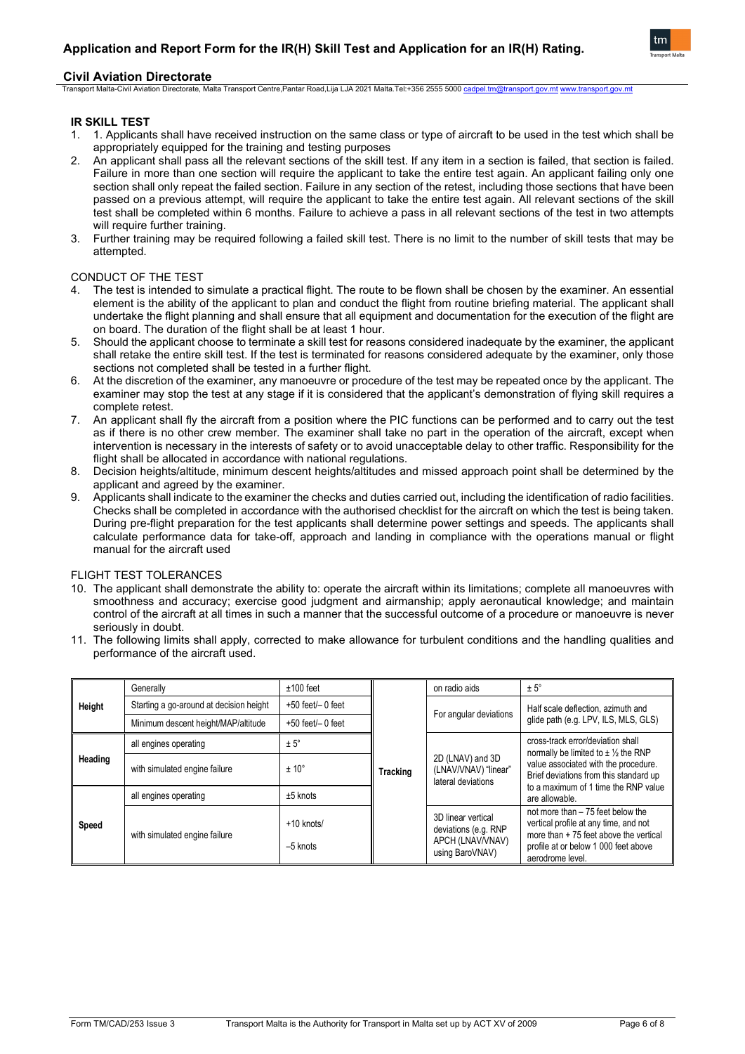

## **Civil Aviation Directorate**

Transport Malta-Civil Aviation Directorate, Malta Transport Centre,Pantar Road,Lija LJA 2021 Malta.Tel:+356 2555 5000 [cadpel.tm@transport.gov.mt](mailto:cadpel.tm@transport.gov.mt) [www.transport.gov.mt](http://www.transport.gov.mt/)

## **IR SKILL TEST**

- 1. 1. Applicants shall have received instruction on the same class or type of aircraft to be used in the test which shall be appropriately equipped for the training and testing purposes
- 2. An applicant shall pass all the relevant sections of the skill test. If any item in a section is failed, that section is failed. Failure in more than one section will require the applicant to take the entire test again. An applicant failing only one section shall only repeat the failed section. Failure in any section of the retest, including those sections that have been passed on a previous attempt, will require the applicant to take the entire test again. All relevant sections of the skill test shall be completed within 6 months. Failure to achieve a pass in all relevant sections of the test in two attempts will require further training.
- 3. Further training may be required following a failed skill test. There is no limit to the number of skill tests that may be attempted.

## CONDUCT OF THE TEST

- 4. The test is intended to simulate a practical flight. The route to be flown shall be chosen by the examiner. An essential element is the ability of the applicant to plan and conduct the flight from routine briefing material. The applicant shall undertake the flight planning and shall ensure that all equipment and documentation for the execution of the flight are on board. The duration of the flight shall be at least 1 hour.
- 5. Should the applicant choose to terminate a skill test for reasons considered inadequate by the examiner, the applicant shall retake the entire skill test. If the test is terminated for reasons considered adequate by the examiner, only those sections not completed shall be tested in a further flight.
- 6. At the discretion of the examiner, any manoeuvre or procedure of the test may be repeated once by the applicant. The examiner may stop the test at any stage if it is considered that the applicant's demonstration of flying skill requires a complete retest.
- 7. An applicant shall fly the aircraft from a position where the PIC functions can be performed and to carry out the test as if there is no other crew member. The examiner shall take no part in the operation of the aircraft, except when intervention is necessary in the interests of safety or to avoid unacceptable delay to other traffic. Responsibility for the flight shall be allocated in accordance with national regulations.
- 8. Decision heights/altitude, minimum descent heights/altitudes and missed approach point shall be determined by the applicant and agreed by the examiner.
- 9. Applicants shall indicate to the examiner the checks and duties carried out, including the identification of radio facilities. Checks shall be completed in accordance with the authorised checklist for the aircraft on which the test is being taken. During pre-flight preparation for the test applicants shall determine power settings and speeds. The applicants shall calculate performance data for take-off, approach and landing in compliance with the operations manual or flight manual for the aircraft used

## FLIGHT TEST TOLERANCES

- 10. The applicant shall demonstrate the ability to: operate the aircraft within its limitations; complete all manoeuvres with smoothness and accuracy; exercise good judgment and airmanship; apply aeronautical knowledge; and maintain control of the aircraft at all times in such a manner that the successful outcome of a procedure or manoeuvre is never seriously in doubt.
- 11. The following limits shall apply, corrected to make allowance for turbulent conditions and the handling qualities and performance of the aircraft used.

| Height  | Generally                               | $±100$ feet                | Tracking | on radio aids                                                                     | $± 5^\circ$                                                                                                                                                                      |                                      |
|---------|-----------------------------------------|----------------------------|----------|-----------------------------------------------------------------------------------|----------------------------------------------------------------------------------------------------------------------------------------------------------------------------------|--------------------------------------|
|         | Starting a go-around at decision height | $+50$ feet $/$ - 0 feet    |          |                                                                                   | Half scale deflection, azimuth and                                                                                                                                               |                                      |
|         | Minimum descent height/MAP/altitude     | $+50$ feet $/$ - 0 feet    |          |                                                                                   | For angular deviations                                                                                                                                                           | glide path (e.g. LPV, ILS, MLS, GLS) |
| Heading | all engines operating                   | $± 5^\circ$                |          |                                                                                   | cross-track error/deviation shall<br>normally be limited to $\pm \frac{1}{2}$ the RNP<br>value associated with the procedure.<br>Brief deviations from this standard up          |                                      |
|         | with simulated engine failure           | ± 10°                      |          | 2D (LNAV) and 3D<br>(LNAV/VNAV) "linear"<br>lateral deviations                    |                                                                                                                                                                                  |                                      |
| Speed   | all engines operating                   | $±5$ knots                 |          |                                                                                   | to a maximum of 1 time the RNP value<br>are allowable.                                                                                                                           |                                      |
|         | with simulated engine failure           | $+10$ knots/<br>$-5$ knots |          | 3D linear vertical<br>deviations (e.g. RNP<br>APCH (LNAV/VNAV)<br>using BaroVNAV) | not more than - 75 feet below the<br>vertical profile at any time, and not<br>more than + 75 feet above the vertical<br>profile at or below 1 000 feet above<br>aerodrome level. |                                      |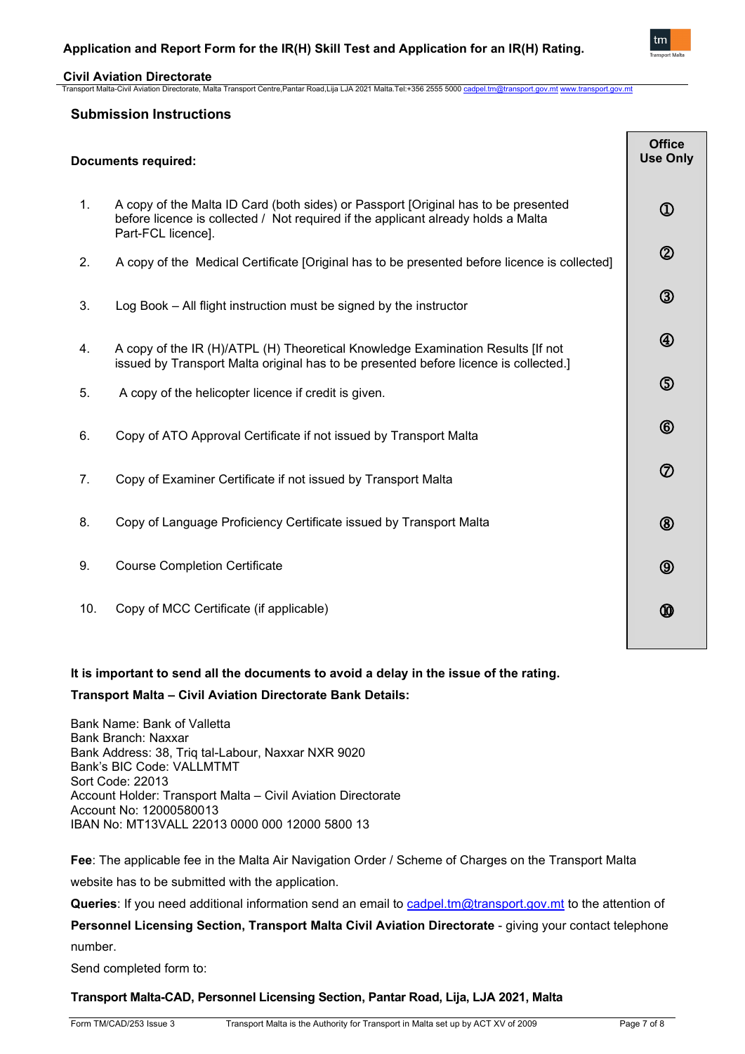

## **Civil Aviation Directorate**

Transport Malta-Civil Aviation Directorate, Malta Transport Centre,Pantar Road,Lija LJA 2021 Malta.Tel:+356 2555 5000 [cadpel.tm@transport.gov.mt](mailto:cadpel.tm@transport.gov.mt) [www.transport.gov.mt](http://www.transport.gov.mt/)

## **Submission Instructions**

| <b>Documents required:</b> |                                                                                                                                                                                               |                                     |
|----------------------------|-----------------------------------------------------------------------------------------------------------------------------------------------------------------------------------------------|-------------------------------------|
| 1.                         | A copy of the Malta ID Card (both sides) or Passport [Original has to be presented<br>before licence is collected / Not required if the applicant already holds a Malta<br>Part-FCL licence]. | $^{\textcircled{\footnotesize{1}}}$ |
| 2.                         | A copy of the Medical Certificate [Original has to be presented before licence is collected]                                                                                                  | $^{\circledR}$                      |
| 3.                         | Log Book – All flight instruction must be signed by the instructor                                                                                                                            | $\circledS$                         |
| 4.                         | A copy of the IR (H)/ATPL (H) Theoretical Knowledge Examination Results [If not<br>issued by Transport Malta original has to be presented before licence is collected.]                       | $^{\circledR}$                      |
| 5.                         | A copy of the helicopter licence if credit is given.                                                                                                                                          | $\circledS$                         |
| 6.                         | Copy of ATO Approval Certificate if not issued by Transport Malta                                                                                                                             | $^{\circledR}$                      |
| 7.                         | Copy of Examiner Certificate if not issued by Transport Malta                                                                                                                                 | $^\circledR$                        |
| 8.                         | Copy of Language Proficiency Certificate issued by Transport Malta                                                                                                                            | $^{\circledR}$                      |
| 9.                         | <b>Course Completion Certificate</b>                                                                                                                                                          | $^\circledR$                        |
| 10.                        | Copy of MCC Certificate (if applicable)                                                                                                                                                       | Ҩ                                   |

## **It is important to send all the documents to avoid a delay in the issue of the rating.**

## **Transport Malta – Civil Aviation Directorate Bank Details:**

Bank Name: Bank of Valletta Bank Branch: Naxxar Bank Address: 38, Triq tal-Labour, Naxxar NXR 9020 Bank's BIC Code: VALLMTMT Sort Code: 22013 Account Holder: Transport Malta – Civil Aviation Directorate Account No: 12000580013 IBAN No: MT13VALL 22013 0000 000 12000 5800 13

**Fee**: The applicable fee in the Malta Air Navigation Order / Scheme of Charges on the Transport Malta website has to be submitted with the application.

Queries: If you need additional information send an email to [cadpel.tm@transport.gov.mt](mailto:cadpel.tm@transport.gov.mt) to the attention of

# **Personnel Licensing Section, Transport Malta Civil Aviation Directorate** - giving your contact telephone

number.

Send completed form to:

## **Transport Malta-CAD, Personnel Licensing Section, Pantar Road, Lija, LJA 2021, Malta**